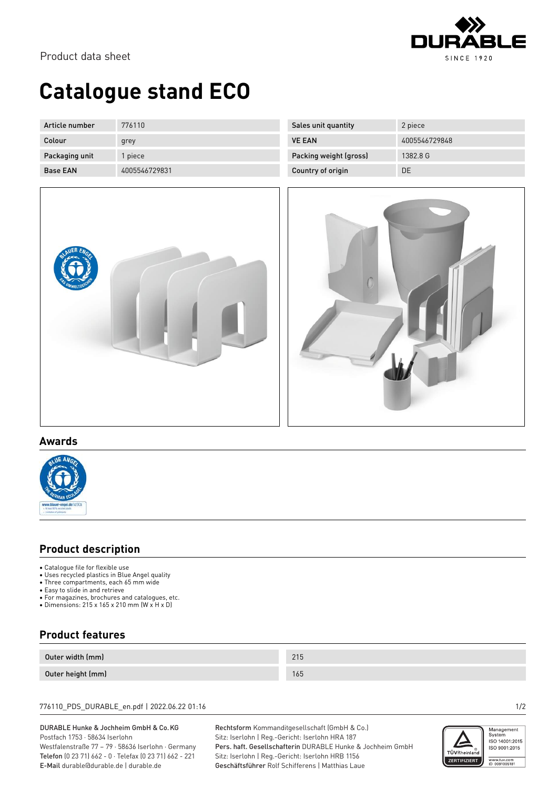

Product data sheet

# **Catalogue stand ECO**

| Article number  | 776110        |
|-----------------|---------------|
| Colour          | grey          |
| Packaging unit  | 1 piece       |
| <b>Base EAN</b> | 4005546729831 |



| Sales unit quantity    | 2 piece       |
|------------------------|---------------|
| <b>VE FAN</b>          | 4005546729848 |
| Packing weight (gross) | 1382.8 G      |
| Country of origin      | DE            |



## **Awards**



## **Product description**

- Catalogue file for flexible use
- Uses recycled plastics in Blue Angel quality
- Three compartments, each 65 mm wide
- Easy to slide in and retrieve
- For magazines, brochures and catalogues, etc. • Dimensions: 215 x 165 x 210 mm (W x H x D)

# **Product features**

| Outer width (mm)  | 01 <sub>0</sub><br>21J |
|-------------------|------------------------|
| Outer height (mm) | 165                    |

### 776110\_PDS\_DURABLE\_en.pdf | 2022.06.22 01:16 1/2

### DURABLE Hunke & Jochheim GmbH & Co.KG Postfach 1753 · 58634 Iserlohn

Westfalenstraße 77 – 79 · 58636 Iserlohn · Germany Telefon (0 23 71) 662 - 0 · Telefax (0 23 71) 662 - 221 E-Mail durable@durable.de | durable.de

Rechtsform Kommanditgesellschaft (GmbH & Co.) Sitz: Iserlohn | Reg.-Gericht: Iserlohn HRA 187 Pers. haft. Gesellschafterin DURABLE Hunke & Jochheim GmbH Sitz: Iserlohn | Reg.-Gericht: Iserlohn HRB 1156 Geschäftsführer Rolf Schifferens | Matthias Laue